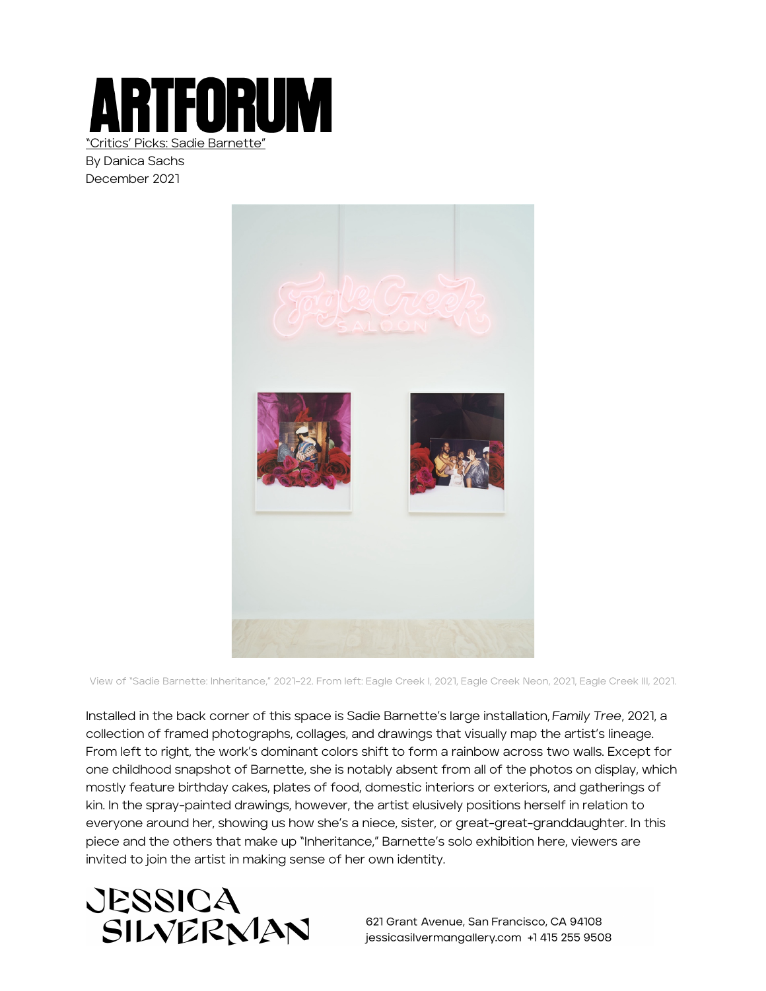

"Critics' Picks: Sadie Barnette"

By Danica Sachs December 2021



View of "Sadie Barnette: Inheritance," 2021–22. From left: Eagle Creek I, 2021, Eagle Creek Neon, 2021, Eagle Creek III, 2021.

Installed in the back corner of this space is Sadie Barnette's large installation, *Family Tree*, 2021, a collection of framed photographs, collages, and drawings that visually map the artist's lineage. From left to right, the work's dominant colors shift to form a rainbow across two walls. Except for one childhood snapshot of Barnette, she is notably absent from all of the photos on display, which mostly feature birthday cakes, plates of food, domestic interiors or exteriors, and gatherings of kin. In the spray-painted drawings, however, the artist elusively positions herself in relation to everyone around her, showing us how she's a niece, sister, or great-great-granddaughter. In this piece and the others that make up "Inheritance," Barnette's solo exhibition here, viewers are invited to join the artist in making sense of her own identity.



621 Grant Avenue, San Francisco, CA 94108 jessicasilvermangallery.com +1 415 255 9508